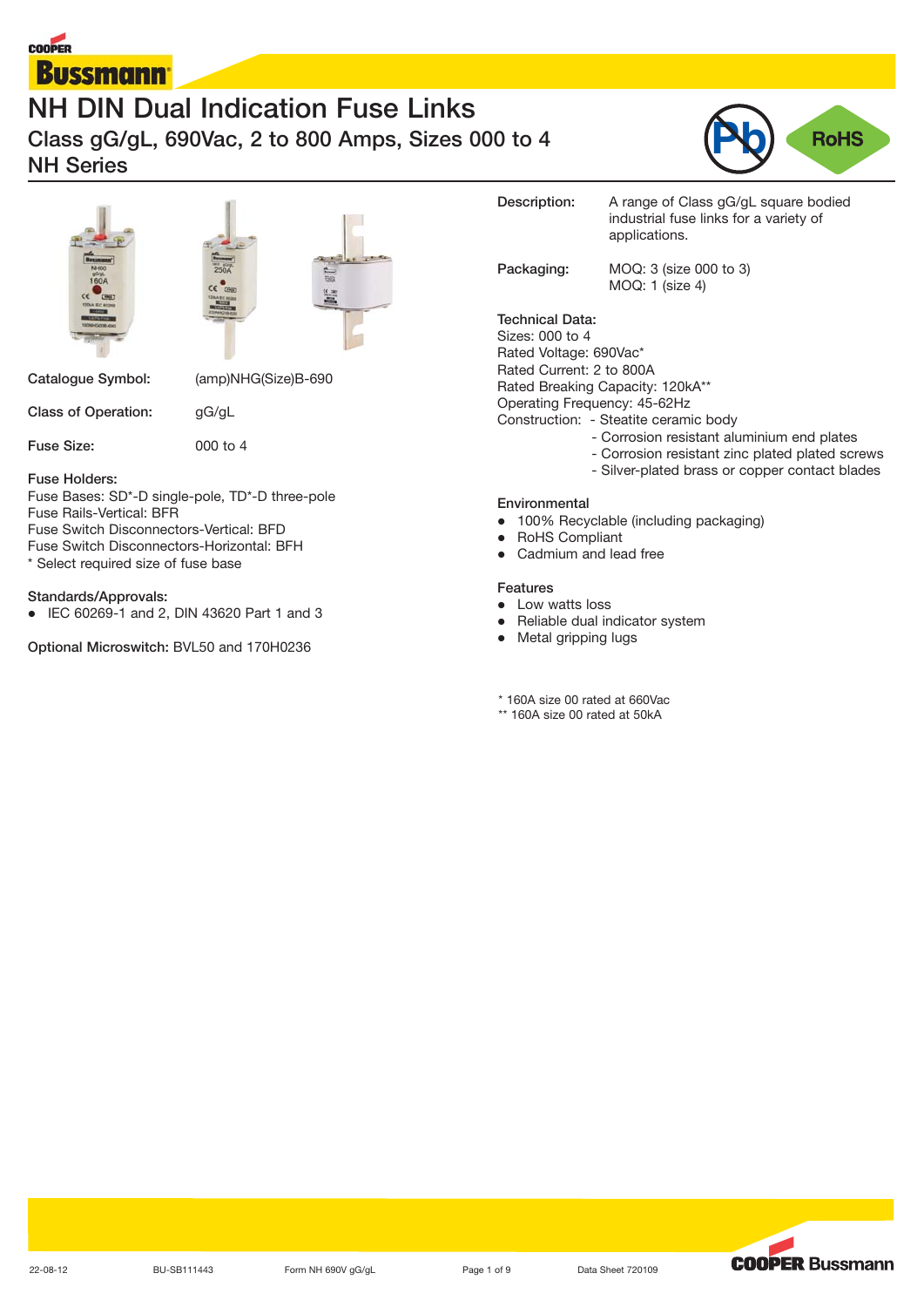







**Catalogue Symbol:** (amp)NHG(Size)B-690

**Class of Operation:** gG/gL

**Fuse Size:** 000 to 4

**Fuse Holders:**

Fuse Bases: SD\*-D single-pole, TD\*-D three-pole Fuse Rails-Vertical: BFR

Fuse Switch Disconnectors-Vertical: BFD

Fuse Switch Disconnectors-Horizontal: BFH

\* Select required size of fuse base

#### **Standards/Approvals:**

- IEC 60269-1 and 2, DIN 43620 Part 1 and 3

**Optional Microswitch:** BVL50 and 170H0236

| Description:                                                                                                             | A range of Class gG/gL square bodied<br>industrial fuse links for a variety of<br>applications.                                                                                                                              |
|--------------------------------------------------------------------------------------------------------------------------|------------------------------------------------------------------------------------------------------------------------------------------------------------------------------------------------------------------------------|
| Packaging:                                                                                                               | MOQ: 3 (size 000 to 3)<br>$MOQ$ : 1 (size 4)                                                                                                                                                                                 |
| Technical Data:<br>Sizes: 000 to 4<br>Rated Voltage: 690Vac*<br>Rated Current: 2 to 800A<br>Operating Frequency: 45-62Hz | Rated Breaking Capacity: 120kA**<br>Construction: - Steatite ceramic body<br>- Corrosion resistant aluminium end plates<br>- Corrosion resistant zinc plated plated screws<br>- Silver-plated brass or copper contact blades |

#### **Environmental**

- 100% Recyclable (including packaging)
- $\bullet$  RoHS Compliant -Cadmium and lead free

#### **Features**

- Low watts loss
- Reliable dual indicator system
- Metal gripping lugs

\* 160A size 00 rated at 660Vac

\*\* 160A size 00 rated at 50kA

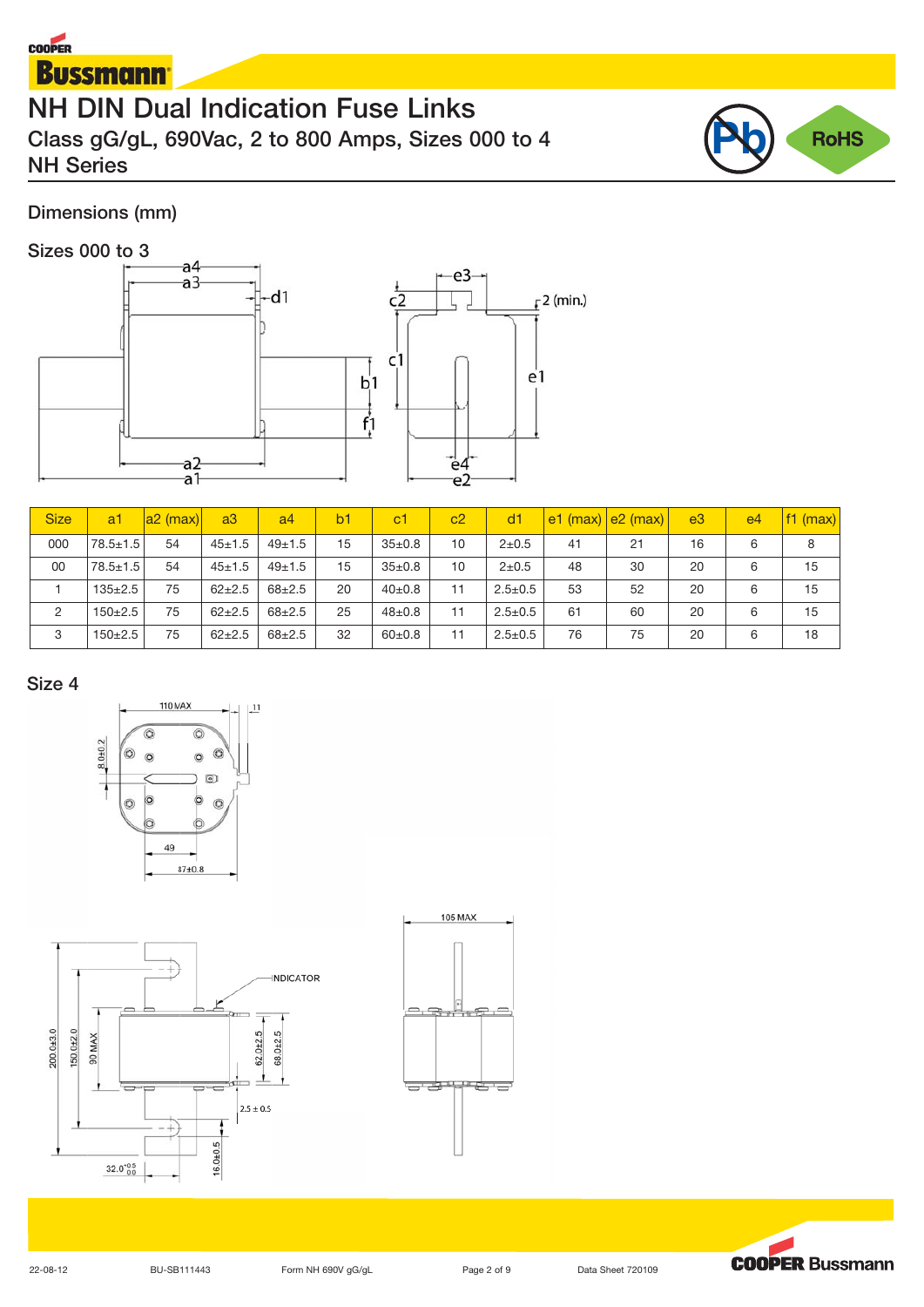# **COOPER Bussmann**

# **NH DIN Dual Indication Fuse Links Class gG/gL, 690Vac, 2 to 800 Amps, Sizes 000 to 4 NH Series**



# **Dimensions (mm)**

# **Sizes 000 to 3**



| <b>Size</b> | a1             | $ a2 \text{ (max)} $ | a3         | a <sup>4</sup> | b <sub>1</sub> | c1           | c <sub>2</sub> | dd1           |    | $ e1$ (max) $ e2$ (max) $ $ | e <sub>3</sub> | e <sub>4</sub> | $ f1$ (max) |
|-------------|----------------|----------------------|------------|----------------|----------------|--------------|----------------|---------------|----|-----------------------------|----------------|----------------|-------------|
| 000         | $78.5 \pm 1.5$ | 54                   | $45 + 1.5$ | $49+1.5$       | 15             | $35 \pm 0.8$ | 10             | $2 + 0.5$     | 41 | 21                          | 16             | 6              | 8           |
| 00          | $78.5 \pm 1.5$ | 54                   | $45 + 1.5$ | $49+1.5$       | 15             | $35 \pm 0.8$ | 10             | $2 + 0.5$     | 48 | 30                          | 20             | 6              | 15          |
|             | $135 \pm 2.5$  | 75                   | $62+2.5$   | $68 + 2.5$     | 20             | $40{\pm}0.8$ | 11             | $2.5 \pm 0.5$ | 53 | 52                          | 20             | 6              | 15          |
| 2           | $150+2.5$      | 75                   | $62+2.5$   | $68 + 2.5$     | 25             | $48 + 0.8$   | 11             | $2.5 \pm 0.5$ | 61 | 60                          | 20             | 6              | 15          |
| 3           | $150+2.5$      | 75                   | $62+2.5$   | $68 + 2.5$     | 32             | $60+0.8$     | 11             | $2.5 \pm 0.5$ | 76 | 75                          | 20             | 6              | 18          |

### **Size 4**







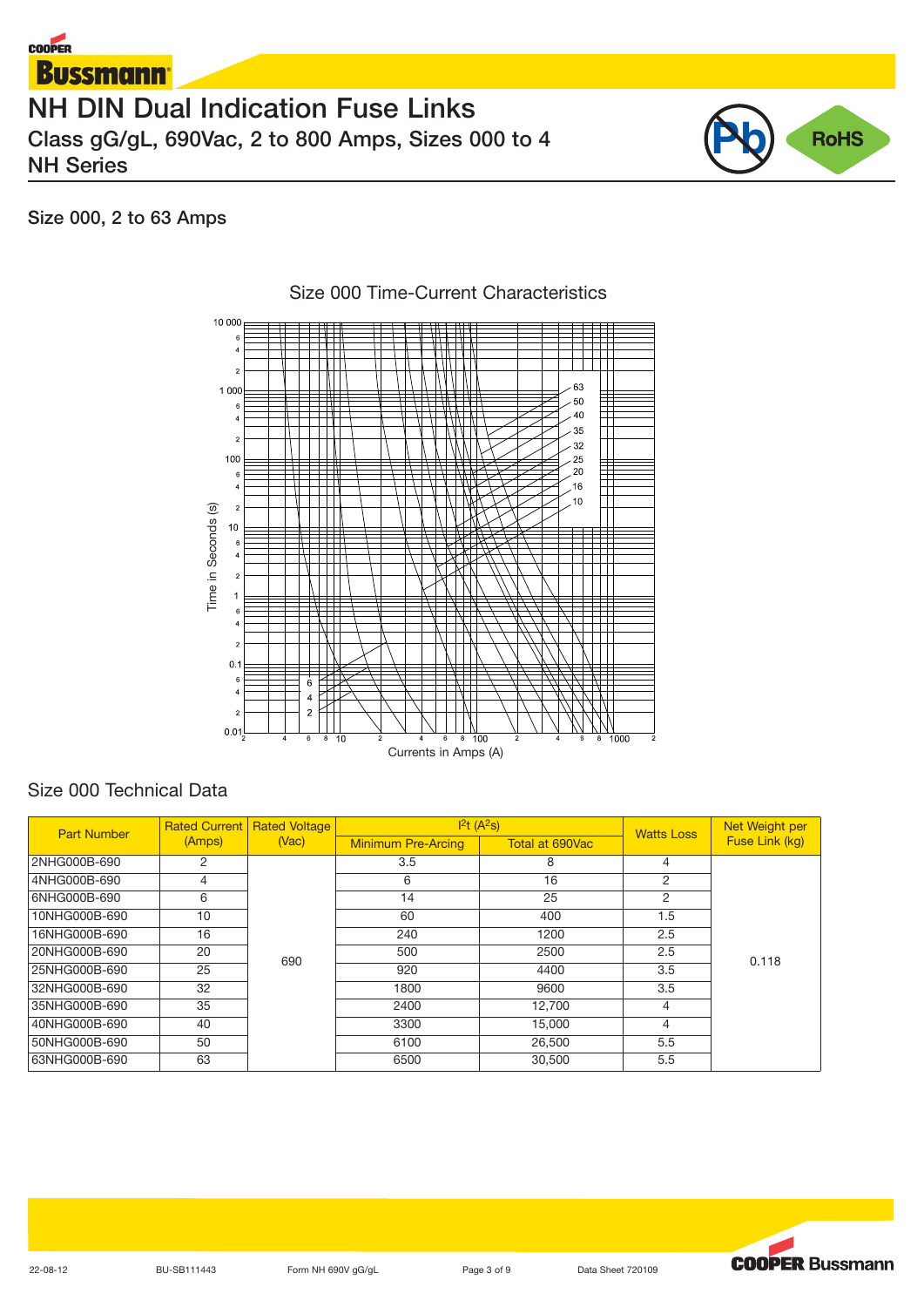



# **Size 000, 2 to 63 Amps**



# Size 000 Time-Current Characteristics

# Size 000 Technical Data

| Size 000 Technical Data | Time in Seconds (s)<br>$\overline{2}$<br>10<br>$\,$ 6 $\,$<br>$\overline{4}$<br>$\overline{2}$<br>1<br>$\,$ 6 $\,$<br>$\overline{4}$<br>$\overline{2}$<br>0.1<br>$\,$ 6<br>$\overline{4}$<br>$\overline{2}$<br>0.01 | Ħ<br><b>The contract of the contract</b><br>$\ddot{6}$<br>$\overline{4}$<br>$\overline{a}$<br>$\overline{6}$<br>$8 \t10$<br>$\overline{4}$ | -N.I<br>8, 100<br>$\overline{a}$<br>$\overline{4}$<br>6<br>Currents in Amps (A) | 8, 1000<br>$\overline{a}$<br>$\overline{4}$<br>6 | $\overline{2}$    |                 |  |
|-------------------------|---------------------------------------------------------------------------------------------------------------------------------------------------------------------------------------------------------------------|--------------------------------------------------------------------------------------------------------------------------------------------|---------------------------------------------------------------------------------|--------------------------------------------------|-------------------|-----------------|--|
|                         |                                                                                                                                                                                                                     | Rated Current Rated Voltage                                                                                                                | 1 <sup>2</sup> t(A <sup>2</sup> s)                                              |                                                  |                   | Net Weight per  |  |
| <b>Part Number</b>      | (Amps)                                                                                                                                                                                                              | (Vac)                                                                                                                                      | <b>Minimum Pre-Arcing</b>                                                       | Total at 690Vac                                  | <b>Watts Loss</b> | Fuse Link (kg)  |  |
| 2NHG000B-690            | $\overline{\mathbf{c}}$                                                                                                                                                                                             |                                                                                                                                            | 3.5                                                                             | 8                                                | 4                 |                 |  |
| 4NHG000B-690            | $\overline{4}$                                                                                                                                                                                                      |                                                                                                                                            | 6                                                                               | 16                                               | $\overline{c}$    |                 |  |
| 6NHG000B-690            | 6                                                                                                                                                                                                                   |                                                                                                                                            | 14                                                                              | $\overline{25}$                                  | 2                 |                 |  |
| 10NHG000B-690           | 10                                                                                                                                                                                                                  |                                                                                                                                            | 60                                                                              | 400                                              | 1.5               |                 |  |
| 16NHG000B-690           | $\overline{16}$                                                                                                                                                                                                     |                                                                                                                                            | 240                                                                             | 1200                                             | 2.5               |                 |  |
| 20NHG000B-690           | 20                                                                                                                                                                                                                  |                                                                                                                                            | 500                                                                             | 2500                                             | 2.5               |                 |  |
| 25NHG000B-690           | $\overline{25}$                                                                                                                                                                                                     | 690                                                                                                                                        | 920                                                                             | 4400                                             | 3.5               | 0.118           |  |
| 32NHG000B-690           | $\overline{32}$                                                                                                                                                                                                     |                                                                                                                                            | 1800                                                                            | 9600                                             | 3.5               |                 |  |
| 35NHG000B-690           | 35                                                                                                                                                                                                                  |                                                                                                                                            | 2400                                                                            | 12,700                                           | $\overline{4}$    |                 |  |
| 40NHG000B-690           | 40                                                                                                                                                                                                                  |                                                                                                                                            | 3300                                                                            | 15,000                                           | $\overline{4}$    |                 |  |
| 50NHG000B-690           | $\overline{50}$                                                                                                                                                                                                     |                                                                                                                                            | 6100                                                                            | 26,500                                           | 5.5               |                 |  |
| 63NHG000B-690           | $\overline{63}$                                                                                                                                                                                                     |                                                                                                                                            | 6500                                                                            | 30,500                                           | $\overline{5.5}$  |                 |  |
|                         |                                                                                                                                                                                                                     |                                                                                                                                            |                                                                                 |                                                  |                   |                 |  |
| 22-08-12                | BU-SB111443                                                                                                                                                                                                         | Form NH 690V gG/gL                                                                                                                         |                                                                                 | Page 3 of 9<br>Data Sheet 720109                 |                   | <b>COOPER B</b> |  |

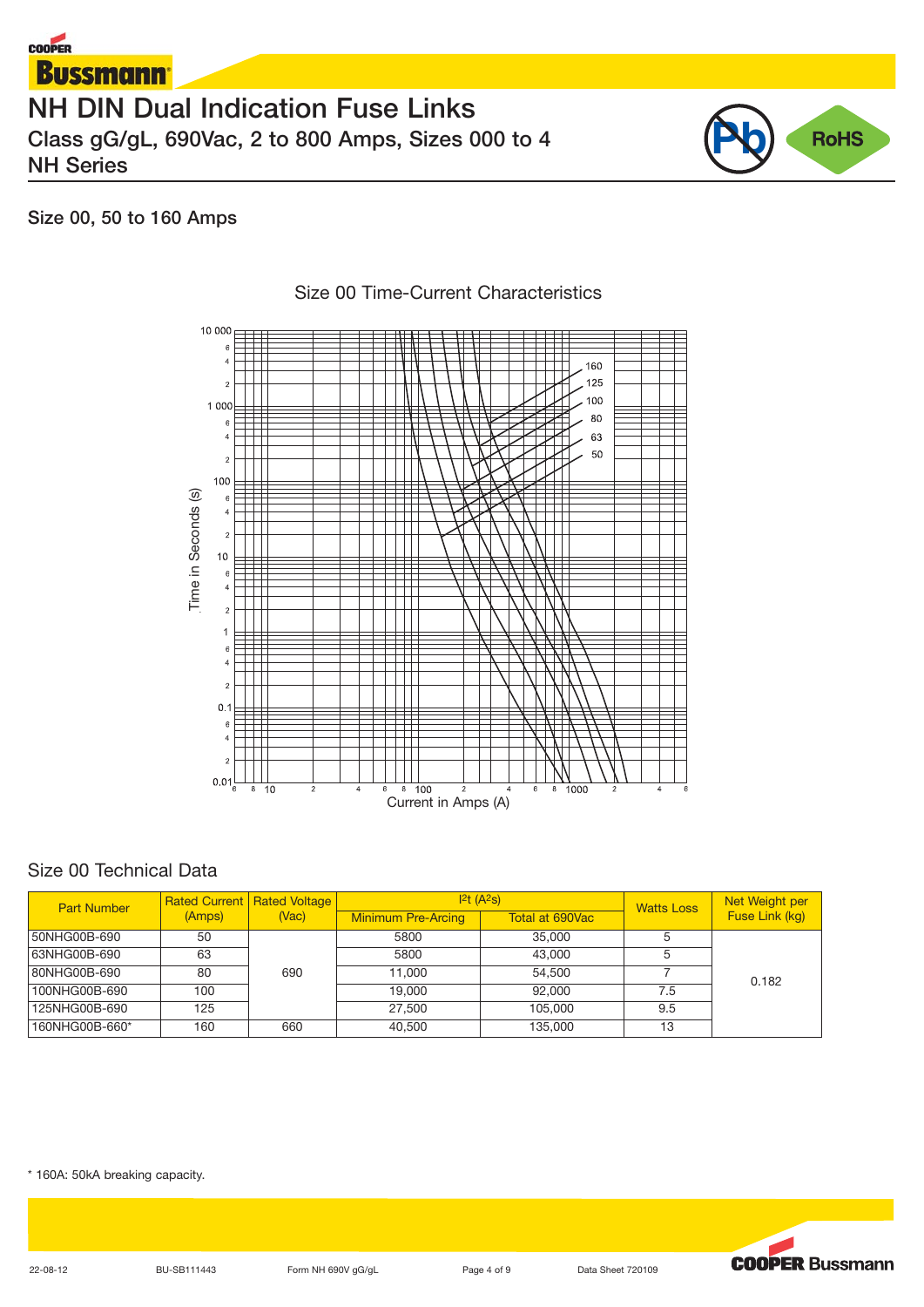



**Size 00, 50 to 160 Amps**



# Size 00 Time-Current Characteristics

### Size 00 Technical Data

| <b>Part Number</b> |        | <b>Rated Current   Rated Voltage  </b> | 1 <sup>2</sup> t(A <sup>2</sup> s) |                 | <b>Watts Loss</b> | Net Weight per |
|--------------------|--------|----------------------------------------|------------------------------------|-----------------|-------------------|----------------|
|                    | (Amps) | (Vac)                                  | <b>Minimum Pre-Arcing</b>          | Total at 690Vac |                   | Fuse Link (kg) |
| 50NHG00B-690       | 50     |                                        | 5800                               | 35,000          |                   |                |
| 63NHG00B-690       | 63     |                                        | 5800                               | 43.000          |                   |                |
| 80NHG00B-690       | 80     | 690                                    | 11,000                             | 54.500          |                   | 0.182          |
| 100NHG00B-690      | 100    |                                        | 19,000                             | 92.000          | 7.5               |                |
| 125NHG00B-690      | 125    |                                        | 27,500                             | 105,000         | 9.5               |                |
| 160NHG00B-660*     | 160    | 660                                    | 40,500                             | 135,000         | 13                |                |

\* 160A: 50kA breaking capacity.



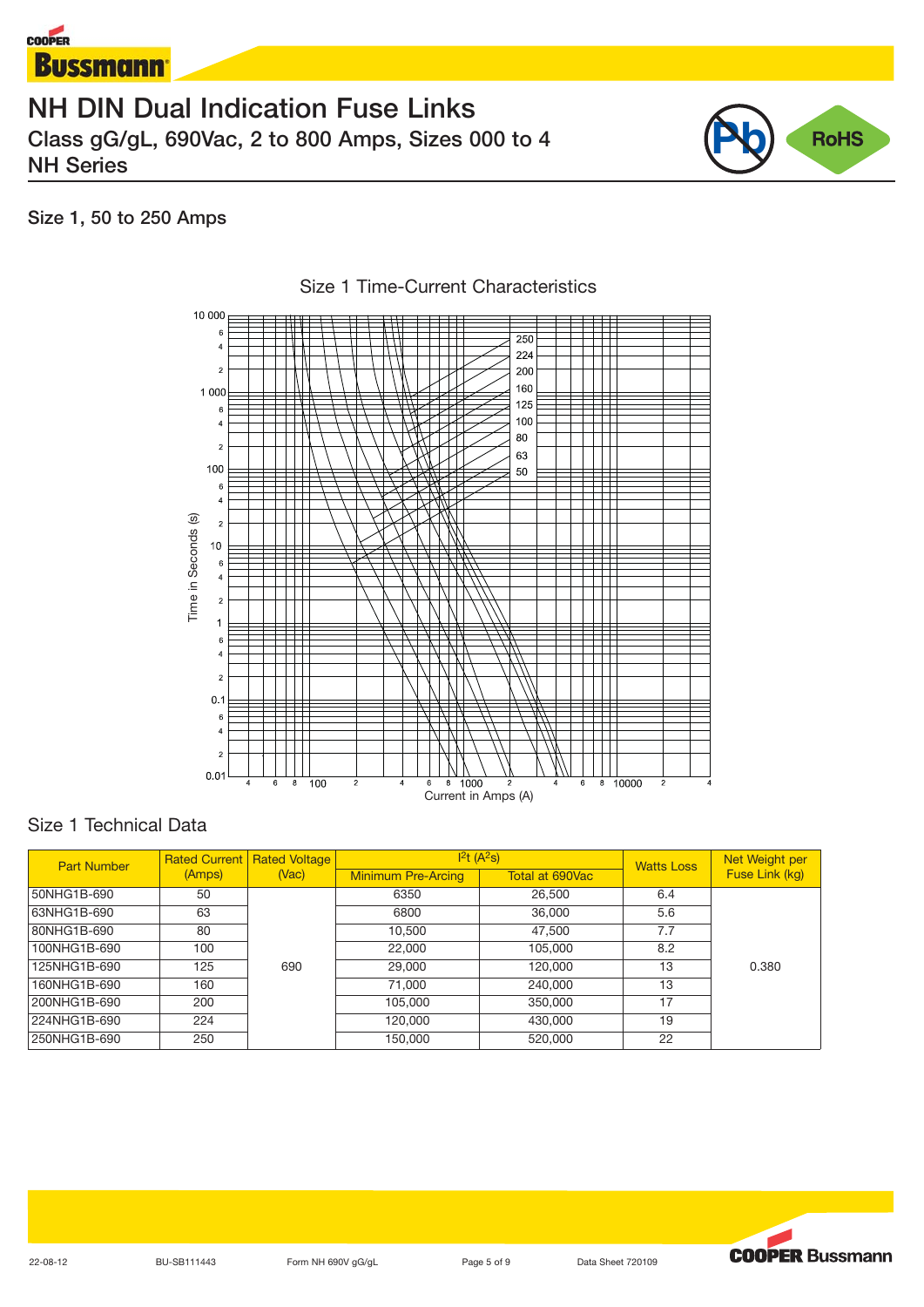



# **Size 1, 50 to 250 Amps**



#### Size 1 Time-Current Characteristics

## Size 1 Technical Data

| <b>Part Number</b> |        | <b>Rated Current   Rated Voltage</b> |                           | $1^2t(A^2s)$    | <b>Watts Loss</b> | Net Weight per |
|--------------------|--------|--------------------------------------|---------------------------|-----------------|-------------------|----------------|
|                    | (Amps) | (Nac)                                | <b>Minimum Pre-Arcing</b> | Total at 690Vac |                   | Fuse Link (kg) |
| 50NHG1B-690        | 50     |                                      | 6350                      | 26,500          | 6.4               |                |
| 63NHG1B-690        | 63     |                                      | 6800                      | 36,000          | 5.6               |                |
| 80NHG1B-690        | 80     |                                      | 10,500                    | 47,500          | 7.7               |                |
| 100NHG1B-690       | 100    |                                      | 22,000                    | 105,000         | 8.2               |                |
| 125NHG1B-690       | 125    | 690                                  | 29,000                    | 120,000         | 13                | 0.380          |
| 160NHG1B-690       | 160    |                                      | 71,000                    | 240,000         | 13                |                |
| 200NHG1B-690       | 200    |                                      | 105,000                   | 350,000         | 17                |                |
| 224NHG1B-690       | 224    |                                      | 120,000                   | 430,000         | 19                |                |
| 250NHG1B-690       | 250    |                                      | 150,000                   | 520,000         | 22                |                |

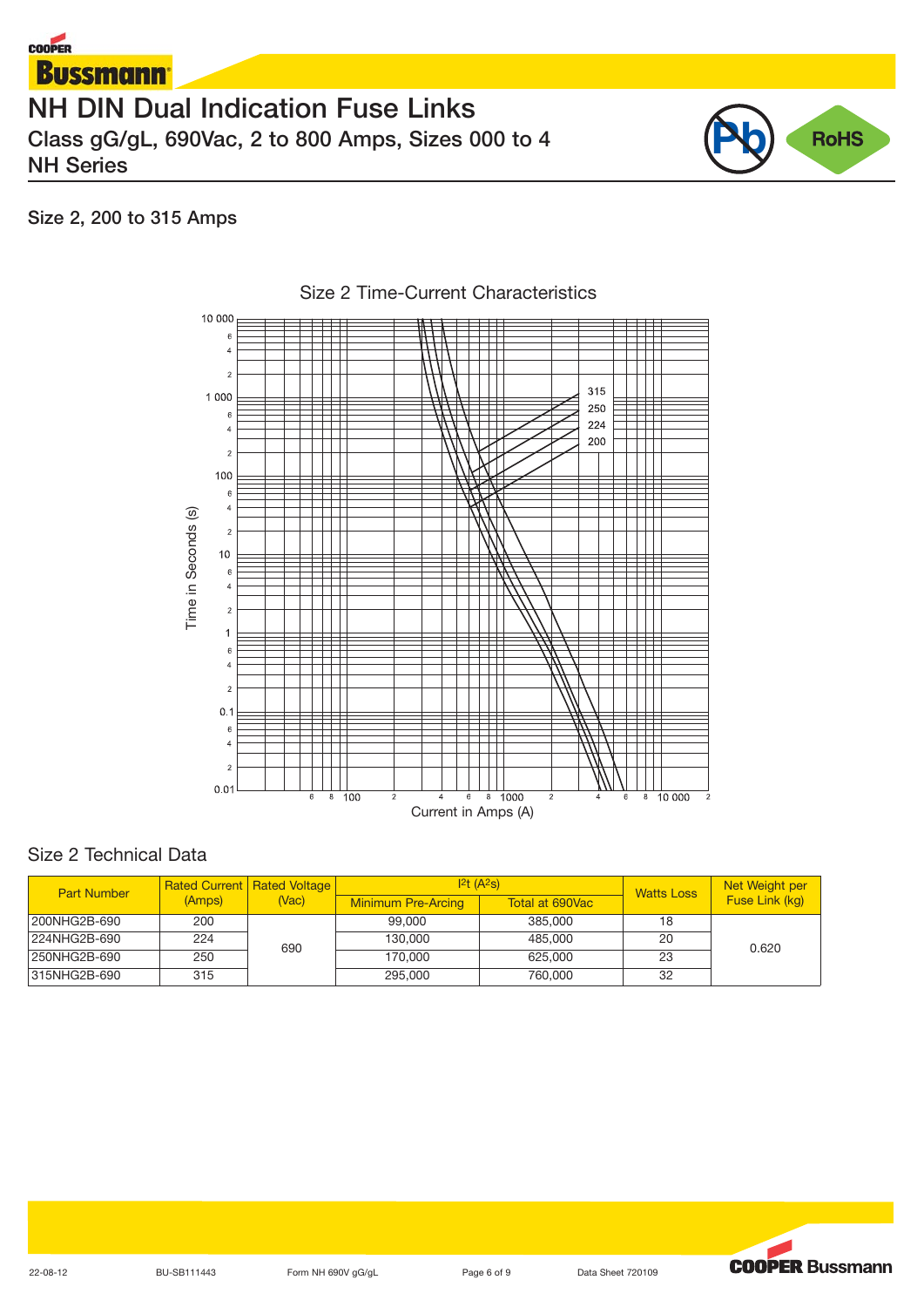

# **Size 2, 200 to 315 Amps**

**COOPER** 



# Size 2 Time-Current Characteristics

# Size 2 Technical Data

| <b>Part Number</b> |        | <b>Rated Current   Rated Voltage  </b><br>(Vac) |                           | 12t (A <sup>2</sup> S) | <b>Watts Loss</b> | Net Weight per |
|--------------------|--------|-------------------------------------------------|---------------------------|------------------------|-------------------|----------------|
|                    | (Amps) |                                                 | <b>Minimum Pre-Arcing</b> | Total at 690Vac        |                   | Fuse Link (kg) |
| 200NHG2B-690       | 200    |                                                 | 99,000                    | 385,000                | 18                |                |
| 224NHG2B-690       | 224    | 690                                             | 130,000                   | 485,000                | 20                | 0.620          |
| 250NHG2B-690       | 250    |                                                 | 170,000                   | 625.000                | 23                |                |
| 315NHG2B-690       | 315    |                                                 | 295,000                   | 760,000                | 32                |                |

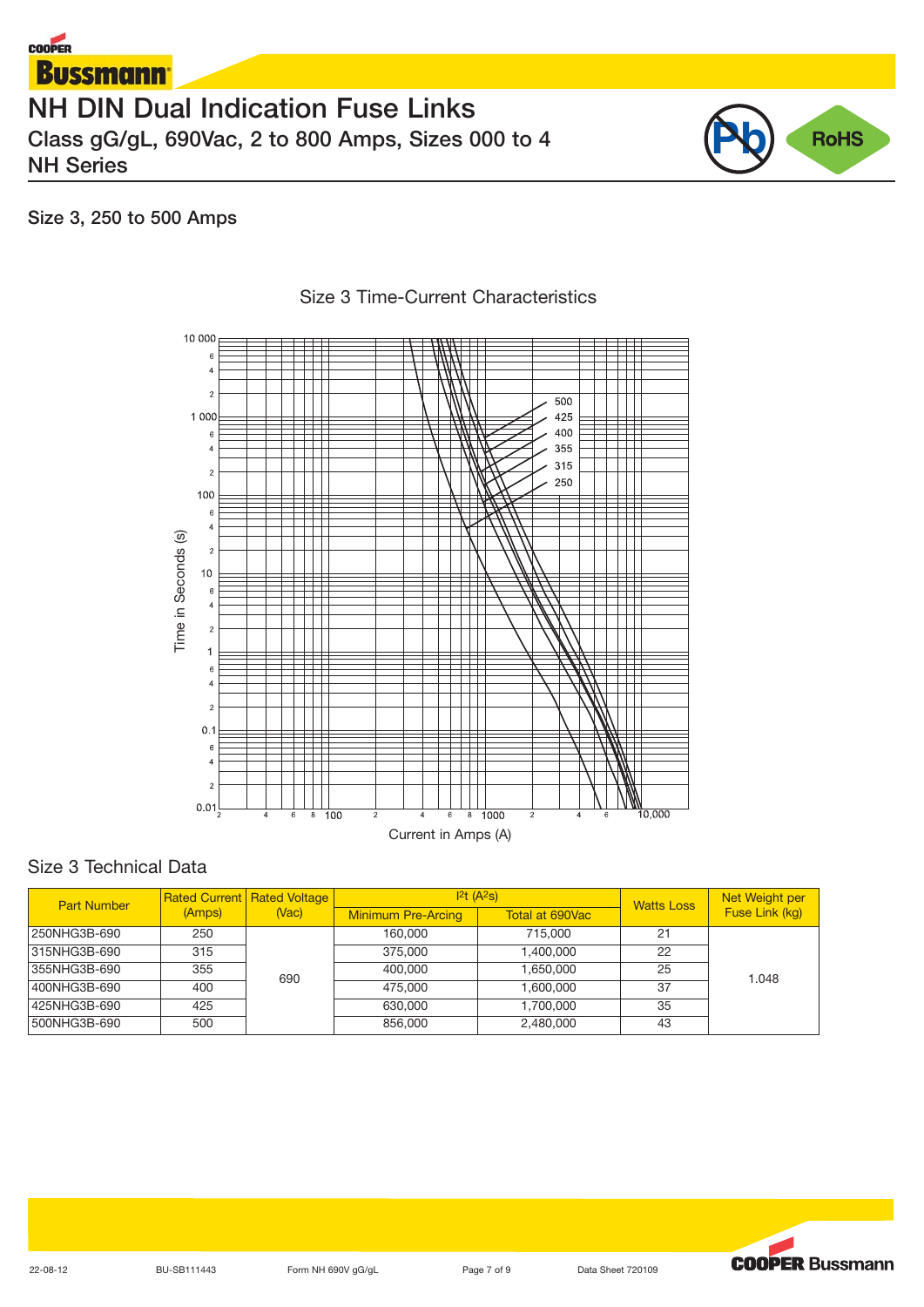



# **Size 3, 250 to 500 Amps**



# Size 3 Time-Current Characteristics

# Size 3 Technical Data

| <b>Part Number</b> |        | <b>Rated Current Rated Voltage</b><br>(Vac) | $ 2t(A^2s) $              |                 | <b>Watts Loss</b> | Net Weight per |
|--------------------|--------|---------------------------------------------|---------------------------|-----------------|-------------------|----------------|
|                    | (Amps) |                                             | <b>Minimum Pre-Arcing</b> | Total at 690Vac |                   | Fuse Link (kg) |
| 250NHG3B-690       | 250    |                                             | 160,000                   | 715,000         | 21                |                |
| 315NHG3B-690       | 315    |                                             | 375,000                   | 1.400.000       | 22                |                |
| 355NHG3B-690       | 355    | 690                                         | 400,000                   | 1,650,000       | 25                | 1.048          |
| 400NHG3B-690       | 400    |                                             | 475,000                   | 1.600.000       | 37                |                |
| 425NHG3B-690       | 425    |                                             | 630,000                   | 1,700,000       | 35                |                |
| 500NHG3B-690       | 500    |                                             | 856,000                   | 2.480.000       | 43                |                |

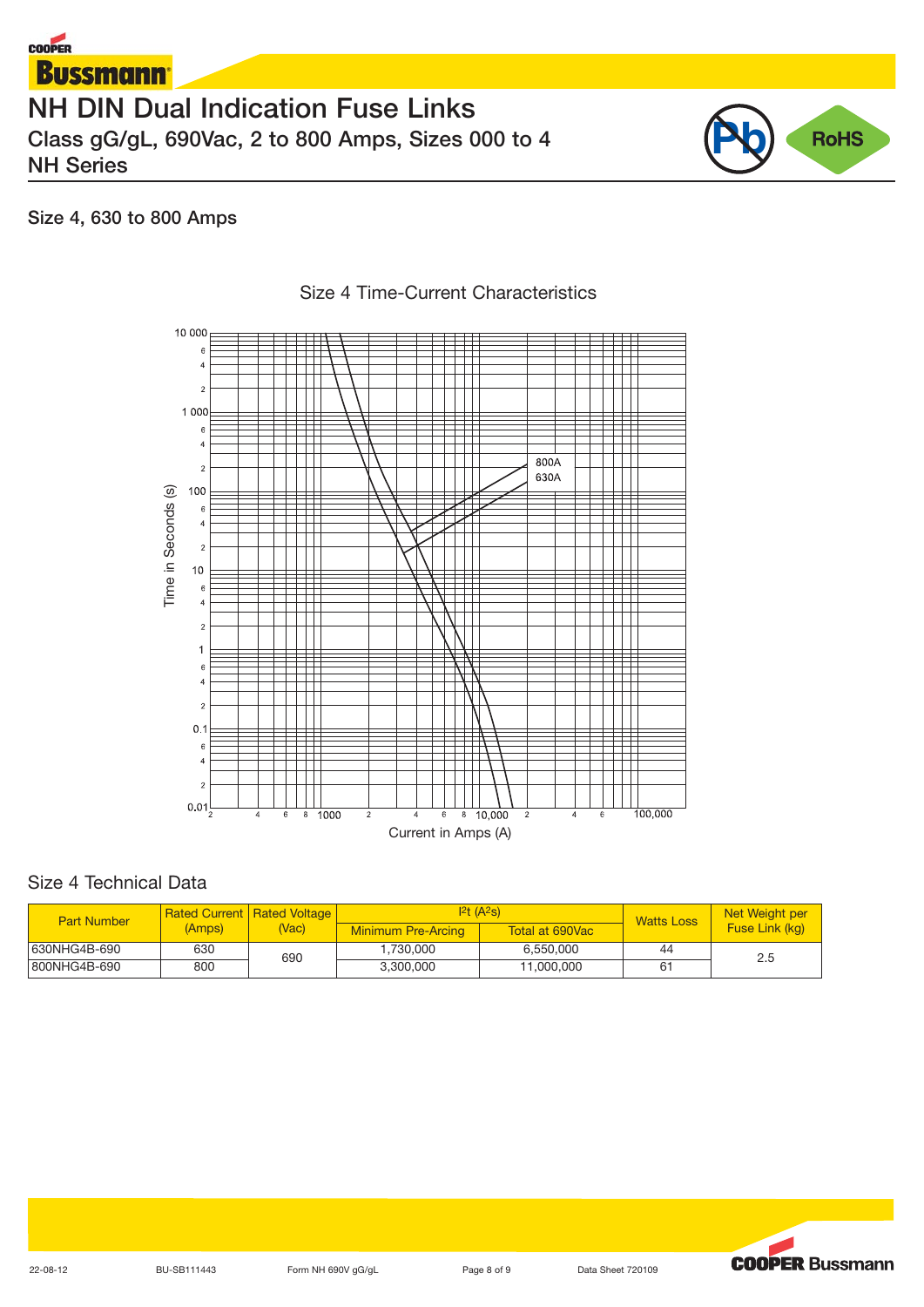



# **Size 4, 630 to 800 Amps**



# Size 4 Time-Current Characteristics

## Size 4 Technical Data

| <b>Part Number</b> |        | <b>Rated Current   Rated Voltage  </b><br>(Vac) | 12t(A <sup>2</sup> s)     |                 | <b>Watts Loss</b> | Net Weight per |
|--------------------|--------|-------------------------------------------------|---------------------------|-----------------|-------------------|----------------|
|                    | (Amps) |                                                 | <b>Minimum Pre-Arcing</b> | Total at 690Vac |                   | Fuse Link (kg) |
| 630NHG4B-690       | 630    | 690                                             | 1.730.000                 | 6.550.000       | 44                | 2.5            |
| 800NHG4B-690       | 800    |                                                 | 3.300.000                 | 11.000.000      | 61                |                |